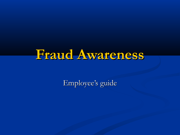# **Fraud Awareness**

Employee's guide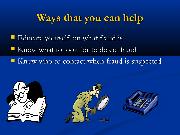# **Ways that you can help**

- **EDUCATE SERVICES ENDINE** EDUCATE VOURSELF ON What fraud is
- Know what to look for to detect fraud
- Know who to contact when fraud is suspected

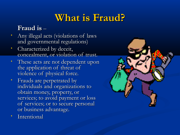# **What is Fraud?**

#### **Fraud is** –

- Any illegal acts (violations of laws and governmental regulations)
- Characterized by deceit, concealment, or violation of trust.
- These acts are not dependent upon the application of threat of violence of physical force.
- Frauds are perpetrated by individuals and organizations to obtain money, property, or services; to avoid payment or loss of services; or to secure personal or business advantage.
- **Intentional**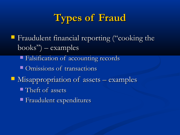# **Types of Fraud**

- **Fraudulent financial reporting ("cooking the**  $books'$ ) – examples
	- **Falsification of accounting records**
	- **COMISSIONS OF transactions**
- **Misappropriation of assets examples** 
	- **Theft of assets**
	- **Fraudulent expenditures**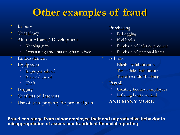# **Other examples of fraud**

- **Bribery**
- **Conspiracy**
- Alumni Affairs / Development
	- Keeping gifts
	- Overstating amounts of gifts received
- Embezzlement
- Equipment
	- Improper sale of
	- Personal use of
	- Theft
- Forgery
- Conflicts of Interests
- Use of state property for personal gain
- Purchasing
	- Bid rigging
	- Kickbacks
	- Purchase of inferior products
	- Purchase of personal items
- Athletics
	- Eligibility falsification
	- Ticket Sales Falsification
	- Travel records "Fudging"
- Payroll
	- Creating fictitious employees
	- Inflating hours worked
	- **AND MANY MORE**

**Fraud can range from minor employee theft and unproductive behavior to misappropriation of assets and fraudulent financial reporting**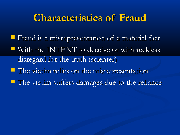### **Characteristics of Fraud**

**Fi** Fraud is a misrepresentation of a material fact With the INTENT to deceive or with reckless disregard for the truth (scienter) **The victim relies on the misrepresentation The victim suffers damages due to the reliance**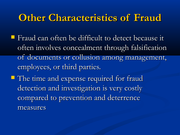### **Other Characteristics of Fraud**

- **Figure 1** Fraud can often be difficult to detect because it often involves concealment through falsification of documents or collusion among management, employees, or third parties.
- **The time and expense required for fraud** detection and investigation is very costly compared to prevention and deterrence measures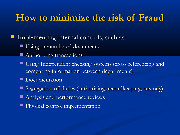#### **How to minimize the risk of Fraud**

Implementing internal controls, such as:

- Using prenumbered documents
	- Authorizing transactions
- Using Independent checking systems (cross referencing and comparing information between departments)
- Documentation
- Segregation of duties (authorizing, recordkeeping, custody)
- Analysis and performance reviews
- **Physical control implementation**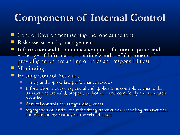# **Components of Internal Control**

- Control Environment (setting the tone at the top)
- Risk assessment by management
- **Information and Communication (identification, capture, and** exchange of information in a timely and useful manner and providing an understanding of roles and responsibilities)
- **Monitoring**
- Existing Control Activities
	- Timely and appropriate performance reviews
	- **Information processing general and applications controls to ensure that** transactions are valid, properly authorized, and completely and accurately recorded
	- Physical controls for safeguarding assets
	- Segregation of duties for authorizing transactions, recording transactions, and maintaining custody of the related assets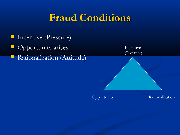## **Fraud Conditions**

**Incentive (Pressure)**  Opportunity arises Rationalization (Attitude)